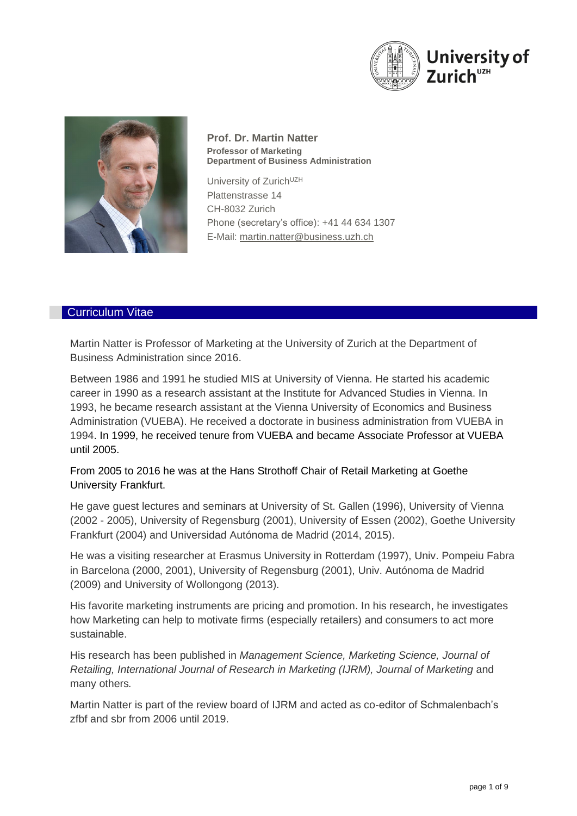



**Prof. Dr. Martin Natter Professor of Marketing Department of Business Administration**

University of Zurich<sup>UZH</sup> Plattenstrasse 14 CH-8032 Zurich Phone (secretary's office): +41 44 634 1307 E-Mail: martin[.natter@business.](mailto:natter@business)uzh.ch

## Curriculum Vitae

Martin Natter is Professor of Marketing at the University of Zurich at the Department of Business Administration since 2016.

Between 1986 and 1991 he studied MIS at University of Vienna. He started his academic career in 1990 as a research assistant at the Institute for Advanced Studies in Vienna. In 1993, he became research assistant at the Vienna University of Economics and Business Administration (VUEBA). He received a doctorate in business administration from VUEBA in 1994. In 1999, he received tenure from VUEBA and became Associate Professor at VUEBA until 2005.

From 2005 to 2016 he was at the Hans Strothoff Chair of Retail Marketing at Goethe University Frankfurt.

He gave guest lectures and seminars at University of St. Gallen (1996), University of Vienna (2002 - 2005), University of Regensburg (2001), University of Essen (2002), Goethe University Frankfurt (2004) and Universidad Autónoma de Madrid (2014, 2015).

He was a visiting researcher at Erasmus University in Rotterdam (1997), Univ. Pompeiu Fabra in Barcelona (2000, 2001), University of Regensburg (2001), Univ. Autónoma de Madrid (2009) and University of Wollongong (2013).

His favorite marketing instruments are pricing and promotion. In his research, he investigates how Marketing can help to motivate firms (especially retailers) and consumers to act more sustainable.

His research has been published in *Management Science, Marketing Science, Journal of Retailing, International Journal of Research in Marketing (IJRM), Journal of Marketing* and many others*.*

Martin Natter is part of the review board of IJRM and acted as co-editor of Schmalenbach's zfbf and sbr from 2006 until 2019.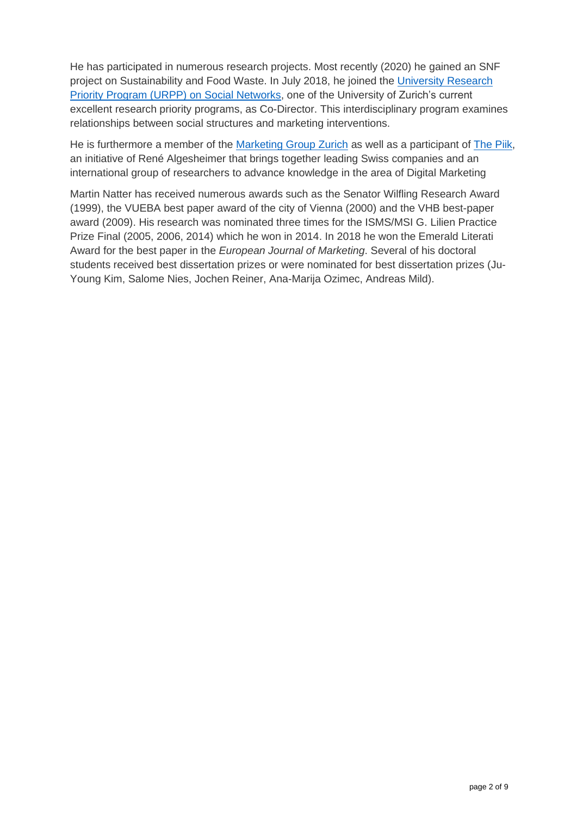He has participated in numerous research projects. Most recently (2020) he gained an SNF project on Sustainability and Food Waste. In July 2018, he joined the [University Research](https://www.socialnetworks.uzh.ch/en.html)  [Priority Program \(URPP\) on Social Networks,](https://www.socialnetworks.uzh.ch/en.html) one of the University of Zurich's current excellent research priority programs, as Co-Director. This interdisciplinary program examines relationships between social structures and marketing interventions.

He is furthermore a member of the [Marketing Group Zurich](https://www.marketing-group-zurich.com/) as well as a participant of [The Piik,](http://www.thepiik.com/) an initiative of René Algesheimer that brings together leading Swiss companies and an international group of researchers to advance knowledge in the area of Digital Marketing

Martin Natter has received numerous awards such as the Senator Wilfling Research Award (1999), the VUEBA best paper award of the city of Vienna (2000) and the VHB best-paper award (2009). His research was nominated three times for the ISMS/MSI G. Lilien Practice Prize Final (2005, 2006, 2014) which he won in 2014. In 2018 he won the Emerald Literati Award for the best paper in the *European Journal of Marketing*. Several of his doctoral students received best dissertation prizes or were nominated for best dissertation prizes (Ju-Young Kim, Salome Nies, Jochen Reiner, Ana-Marija Ozimec, Andreas Mild).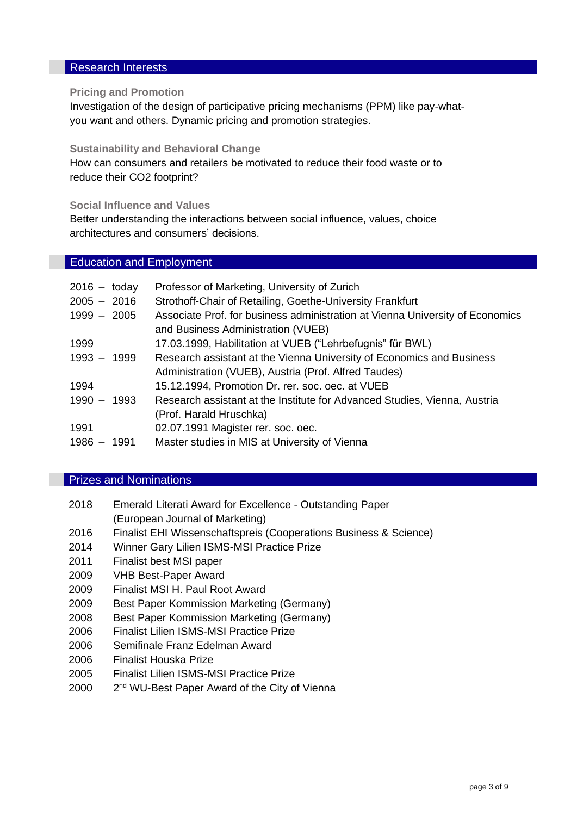## Research Interests

## **Pricing and Promotion**

Investigation of the design of participative pricing mechanisms (PPM) like pay-whatyou want and others. Dynamic pricing and promotion strategies.

#### **Sustainability and Behavioral Change**

How can consumers and retailers be motivated to reduce their food waste or to reduce their CO2 footprint?

**Social Influence and Values**

Better understanding the interactions between social influence, values, choice architectures and consumers' decisions.

# Education and Employment

| 2016 - today | Professor of Marketing, University of Zurich                                  |
|--------------|-------------------------------------------------------------------------------|
| 2005 - 2016  | Strothoff-Chair of Retailing, Goethe-University Frankfurt                     |
| 1999 - 2005  | Associate Prof. for business administration at Vienna University of Economics |
|              | and Business Administration (VUEB)                                            |
| 1999         | 17.03.1999, Habilitation at VUEB ("Lehrbefugnis" für BWL)                     |
| 1993 - 1999  | Research assistant at the Vienna University of Economics and Business         |
|              | Administration (VUEB), Austria (Prof. Alfred Taudes)                          |
| 1994         | 15.12.1994, Promotion Dr. rer. soc. oec. at VUEB                              |
| 1990 - 1993  | Research assistant at the Institute for Advanced Studies, Vienna, Austria     |
|              | (Prof. Harald Hruschka)                                                       |
| 1991         | 02.07.1991 Magister rer. soc. oec.                                            |
| 1986 - 1991  | Master studies in MIS at University of Vienna                                 |

## Prizes and Nominations

| 2018 | Emerald Literati Award for Excellence - Outstanding Paper |  |
|------|-----------------------------------------------------------|--|
|      | (European Journal of Marketing)                           |  |

- 2016 Finalist EHI Wissenschaftspreis (Cooperations Business & Science)
- 2014 Winner Gary Lilien ISMS-MSI Practice Prize
- 2011 Finalist best MSI paper
- 2009 VHB Best-Paper Award
- 2009 Finalist MSI H. Paul Root Award
- 2009 Best Paper Kommission Marketing (Germany)
- 2008 Best Paper Kommission Marketing (Germany)
- 2006 Finalist Lilien ISMS-MSI Practice Prize
- 2006 Semifinale Franz Edelman Award
- 2006 Finalist Houska Prize
- 2005 Finalist Lilien ISMS-MSI Practice Prize
- 2000 2 2<sup>nd</sup> WU-Best Paper Award of the City of Vienna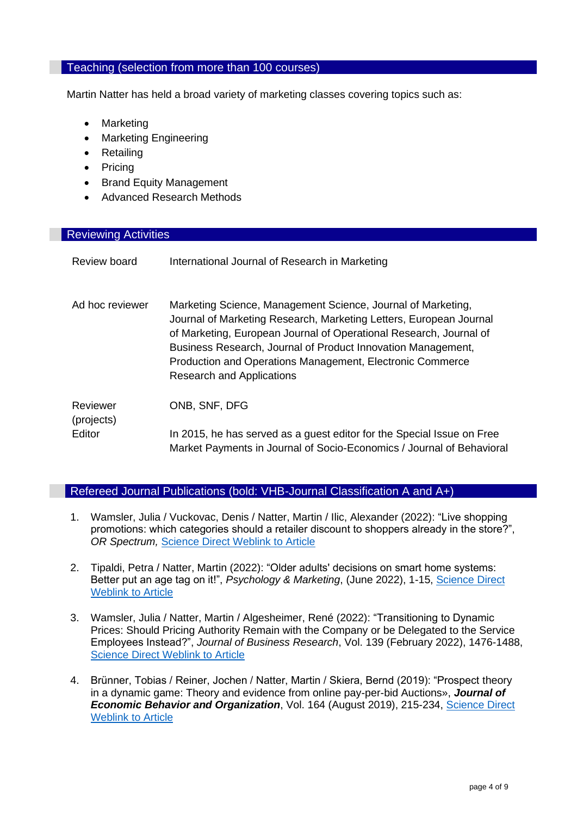#### Teaching (selection from more than 100 courses)

Martin Natter has held a broad variety of marketing classes covering topics such as:

- Marketing
- Marketing Engineering
- Retailing
- Pricing
- Brand Equity Management
- Advanced Research Methods

# Reviewing Activities

| Review board           | International Journal of Research in Marketing                                                                                                                                                                                                                                                                                                                            |
|------------------------|---------------------------------------------------------------------------------------------------------------------------------------------------------------------------------------------------------------------------------------------------------------------------------------------------------------------------------------------------------------------------|
| Ad hoc reviewer        | Marketing Science, Management Science, Journal of Marketing,<br>Journal of Marketing Research, Marketing Letters, European Journal<br>of Marketing, European Journal of Operational Research, Journal of<br>Business Research, Journal of Product Innovation Management,<br>Production and Operations Management, Electronic Commerce<br><b>Research and Applications</b> |
| Reviewer<br>(projects) | ONB, SNF, DFG                                                                                                                                                                                                                                                                                                                                                             |
| Editor                 | In 2015, he has served as a guest editor for the Special Issue on Free<br>Market Payments in Journal of Socio-Economics / Journal of Behavioral                                                                                                                                                                                                                           |

# Refereed Journal Publications (bold: VHB-Journal Classification A and A+)

- 1. Wamsler, Julia / Vuckovac, Denis / Natter, Martin / Ilic, Alexander (2022): "Live shopping promotions: which categories should a retailer discount to shoppers already in the store?", *OR Spectrum,* [Science Direct Weblink to Article](https://link.springer.com/article/10.1007/s00291-022-00685-w)
- 2. Tipaldi, Petra / Natter, Martin (2022): "Older adults' decisions on smart home systems: Better put an age tag on it!", *Psychology & Marketing*, (June 2022), 1-15, [Science Direct](https://onlinelibrary.wiley.com/doi/10.1002/mar.21698)  [Weblink to Article](https://onlinelibrary.wiley.com/doi/10.1002/mar.21698)
- 3. Wamsler, Julia / Natter, Martin / Algesheimer, René (2022): "Transitioning to Dynamic Prices: Should Pricing Authority Remain with the Company or be Delegated to the Service Employees Instead?", *Journal of Business Research*, Vol. 139 (February 2022), 1476-1488, [Science Direct Weblink to Article](https://www.sciencedirect.com/science/article/pii/S0148296321007943)
- 4. Brünner, Tobias / Reiner, Jochen / Natter, Martin / Skiera, Bernd (2019): "Prospect theory in a dynamic game: Theory and evidence from online pay-per-bid Auctions», *Journal of Economic Behavior and Organization*, Vol. 164 (August 2019), 215-234, [Science Direct](https://www.sciencedirect.com/science/article/pii/S0167268119301842?dgcid=author)  [Weblink to Article](https://www.sciencedirect.com/science/article/pii/S0167268119301842?dgcid=author)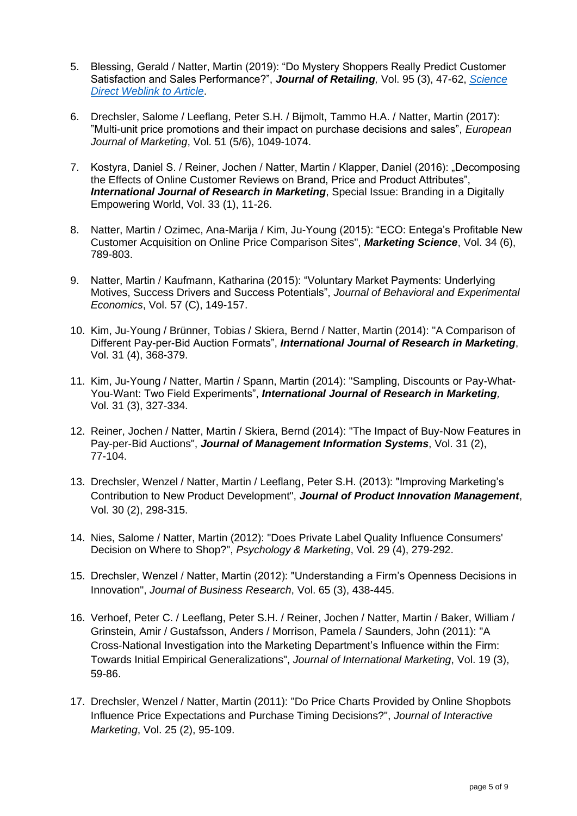- 5. Blessing, Gerald / Natter, Martin (2019): "Do Mystery Shoppers Really Predict Customer Satisfaction and Sales Performance?", *Journal of Retailing,* Vol. 95 (3), 47-62, *[Science](https://www.sciencedirect.com/science/article/pii/S0022435919300211)  [Direct Weblink to Article](https://www.sciencedirect.com/science/article/pii/S0022435919300211)*.
- 6. Drechsler, Salome / Leeflang, Peter S.H. / Bijmolt, Tammo H.A. / Natter, Martin (2017): "Multi-unit price promotions and their impact on purchase decisions and sales", *European Journal of Marketing*, Vol. 51 (5/6), 1049-1074.
- 7. Kostyra, Daniel S. / Reiner, Jochen / Natter, Martin / Klapper, Daniel (2016): "Decomposing the Effects of Online Customer Reviews on Brand, Price and Product Attributes", **International Journal of Research in Marketing**, Special Issue: Branding in a Digitally Empowering World, Vol. 33 (1), 11-26.
- 8. Natter, Martin / Ozimec, Ana-Marija / Kim, Ju-Young (2015): "ECO: Entega's Profitable New Customer Acquisition on Online Price Comparison Sites", *Marketing Science*, Vol. 34 (6), 789-803.
- 9. Natter, Martin / Kaufmann, Katharina (2015): "Voluntary Market Payments: Underlying Motives, Success Drivers and Success Potentials", *Journal of Behavioral and Experimental Economics*, Vol. 57 (C), 149-157.
- 10. Kim, Ju-Young / Brünner, Tobias / Skiera, Bernd / Natter, Martin (2014): "A Comparison of Different Pay-per-Bid Auction Formats", *International Journal of Research in Marketing*, Vol. 31 (4), 368-379.
- 11. Kim, Ju-Young / Natter, Martin / Spann, Martin (2014): "Sampling, Discounts or Pay-What-You-Want: Two Field Experiments", *International Journal of Research in Marketing,* Vol. 31 (3), 327-334.
- 12. Reiner, Jochen / Natter, Martin / Skiera, Bernd (2014): "The Impact of Buy-Now Features in Pay-per-Bid Auctions", *Journal of Management Information Systems*, Vol. 31 (2), 77-104.
- 13. Drechsler, Wenzel / Natter, Martin / Leeflang, Peter S.H. (2013): "Improving Marketing's Contribution to New Product Development", *Journal of Product Innovation Management*, Vol. 30 (2), 298-315.
- 14. Nies, Salome / Natter, Martin (2012): "Does Private Label Quality Influence Consumers' Decision on Where to Shop?", *Psychology & Marketing*, Vol. 29 (4), 279-292.
- 15. Drechsler, Wenzel / Natter, Martin (2012): "Understanding a Firm's Openness Decisions in Innovation", *Journal of Business Research*, Vol. 65 (3), 438-445.
- 16. Verhoef, Peter C. / Leeflang, Peter S.H. / Reiner, Jochen / Natter, Martin / Baker, William / Grinstein, Amir / Gustafsson, Anders / Morrison, Pamela / Saunders, John (2011): "A Cross-National Investigation into the Marketing Department's Influence within the Firm: Towards Initial Empirical Generalizations", *Journal of International Marketing*, Vol. 19 (3), 59-86.
- 17. Drechsler, Wenzel / Natter, Martin (2011): "Do Price Charts Provided by Online Shopbots Influence Price Expectations and Purchase Timing Decisions?", *Journal of Interactive Marketing*, Vol. 25 (2), 95-109.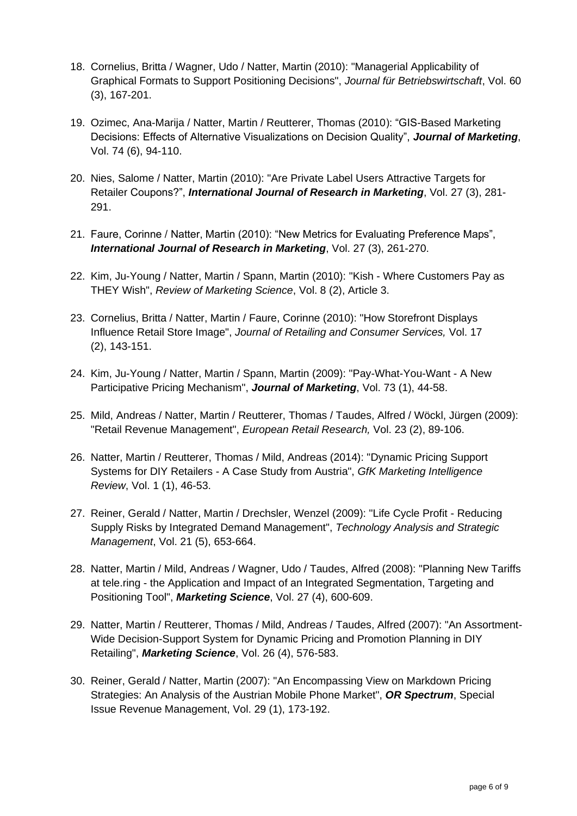- 18. Cornelius, Britta / Wagner, Udo / Natter, Martin (2010): "Managerial Applicability of Graphical Formats to Support Positioning Decisions", *Journal für Betriebswirtschaft*, Vol. 60 (3), 167-201.
- 19. Ozimec, Ana-Marija / Natter, Martin / Reutterer, Thomas (2010): "GIS-Based Marketing Decisions: Effects of Alternative Visualizations on Decision Quality", *Journal of Marketing*, Vol. 74 (6), 94-110.
- 20. Nies, Salome / Natter, Martin (2010): "Are Private Label Users Attractive Targets for Retailer Coupons?", *International Journal of Research in Marketing*, Vol. 27 (3), 281- 291.
- 21. Faure, Corinne / Natter, Martin (2010): "New Metrics for Evaluating Preference Maps", *International Journal of Research in Marketing*, Vol. 27 (3), 261-270.
- 22. Kim, Ju-Young / Natter, Martin / Spann, Martin (2010): "Kish Where Customers Pay as THEY Wish", *Review of Marketing Science*, Vol. 8 (2), Article 3.
- 23. Cornelius, Britta / Natter, Martin / Faure, Corinne (2010): "How Storefront Displays Influence Retail Store Image", *Journal of Retailing and Consumer Services,* Vol. 17 (2), 143-151.
- 24. Kim, Ju-Young / Natter, Martin / Spann, Martin (2009): "Pay-What-You-Want A New Participative Pricing Mechanism", *Journal of Marketing*, Vol. 73 (1), 44-58.
- 25. Mild, Andreas / Natter, Martin / Reutterer, Thomas / Taudes, Alfred / Wöckl, Jürgen (2009): "Retail Revenue Management", *European Retail Research,* Vol. 23 (2), 89-106.
- 26. Natter, Martin / Reutterer, Thomas / Mild, Andreas (2014): "Dynamic Pricing Support Systems for DIY Retailers - A Case Study from Austria", *GfK Marketing Intelligence Review*, Vol. 1 (1), 46-53.
- 27. Reiner, Gerald / Natter, Martin / Drechsler, Wenzel (2009): "Life Cycle Profit Reducing Supply Risks by Integrated Demand Management", *Technology Analysis and Strategic Management*, Vol. 21 (5), 653-664.
- 28. Natter, Martin / Mild, Andreas / Wagner, Udo / Taudes, Alfred (2008): "Planning New Tariffs at tele.ring - the Application and Impact of an Integrated Segmentation, Targeting and Positioning Tool", *Marketing Science*, Vol. 27 (4), 600-609.
- 29. Natter, Martin / Reutterer, Thomas / Mild, Andreas / Taudes, Alfred (2007): "An Assortment-Wide Decision-Support System for Dynamic Pricing and Promotion Planning in DIY Retailing", *Marketing Science*, Vol. 26 (4), 576-583.
- 30. Reiner, Gerald / Natter, Martin (2007): "An Encompassing View on Markdown Pricing Strategies: An Analysis of the Austrian Mobile Phone Market", *OR Spectrum*, Special Issue Revenue Management, Vol. 29 (1), 173-192.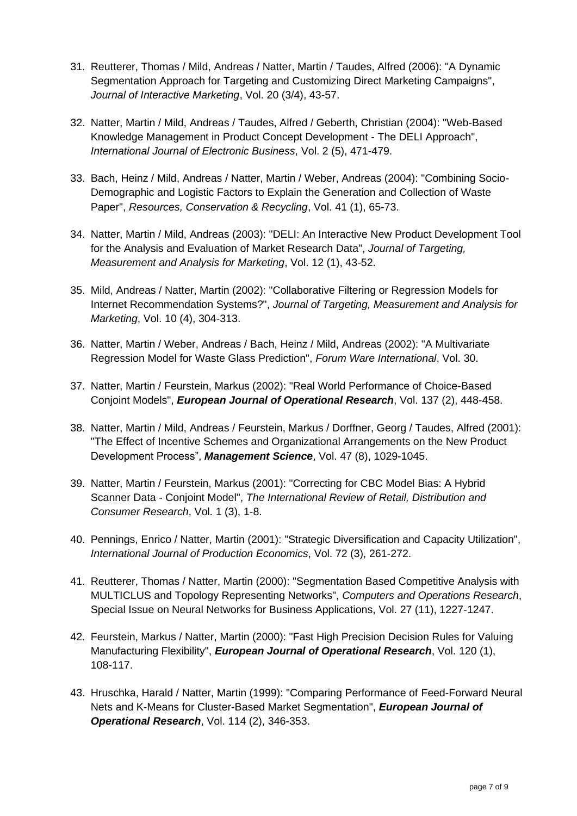- 31. Reutterer, Thomas / Mild, Andreas / Natter, Martin / Taudes, Alfred (2006): "A Dynamic Segmentation Approach for Targeting and Customizing Direct Marketing Campaigns", *Journal of Interactive Marketing*, Vol. 20 (3/4), 43-57.
- 32. Natter, Martin / Mild, Andreas / Taudes, Alfred / Geberth, Christian (2004): "Web-Based Knowledge Management in Product Concept Development - The DELI Approach", *International Journal of Electronic Business*, Vol. 2 (5), 471-479.
- 33. Bach, Heinz / Mild, Andreas / Natter, Martin / Weber, Andreas (2004): "Combining Socio-Demographic and Logistic Factors to Explain the Generation and Collection of Waste Paper", *Resources, Conservation & Recycling*, Vol. 41 (1), 65-73.
- 34. Natter, Martin / Mild, Andreas (2003): "DELI: An Interactive New Product Development Tool for the Analysis and Evaluation of Market Research Data", *Journal of Targeting, Measurement and Analysis for Marketing*, Vol. 12 (1), 43-52.
- 35. Mild, Andreas / Natter, Martin (2002): "Collaborative Filtering or Regression Models for Internet Recommendation Systems?", *Journal of Targeting, Measurement and Analysis for Marketing*, Vol. 10 (4), 304-313.
- 36. Natter, Martin / Weber, Andreas / Bach, Heinz / Mild, Andreas (2002): "A Multivariate Regression Model for Waste Glass Prediction", *Forum Ware International*, Vol. 30.
- 37. Natter, Martin / Feurstein, Markus (2002): "Real World Performance of Choice-Based Conjoint Models", *European Journal of Operational Research*, Vol. 137 (2), 448-458.
- 38. Natter, Martin / Mild, Andreas / Feurstein, Markus / Dorffner, Georg / Taudes, Alfred (2001): "The Effect of Incentive Schemes and Organizational Arrangements on the New Product Development Process", *Management Science*, Vol. 47 (8), 1029-1045.
- 39. Natter, Martin / Feurstein, Markus (2001): "Correcting for CBC Model Bias: A Hybrid Scanner Data - Conjoint Model", *The International Review of Retail, Distribution and Consumer Research*, Vol. 1 (3), 1-8.
- 40. Pennings, Enrico / Natter, Martin (2001): "Strategic Diversification and Capacity Utilization", *International Journal of Production Economics*, Vol. 72 (3), 261-272.
- 41. Reutterer, Thomas / Natter, Martin (2000): "Segmentation Based Competitive Analysis with MULTICLUS and Topology Representing Networks", *Computers and Operations Research*, Special Issue on Neural Networks for Business Applications, Vol. 27 (11), 1227-1247.
- 42. Feurstein, Markus / Natter, Martin (2000): "Fast High Precision Decision Rules for Valuing Manufacturing Flexibility", *European Journal of Operational Research*, Vol. 120 (1), 108-117.
- 43. Hruschka, Harald / Natter, Martin (1999): "Comparing Performance of Feed-Forward Neural Nets and K-Means for Cluster-Based Market Segmentation", *European Journal of Operational Research*, Vol. 114 (2), 346-353.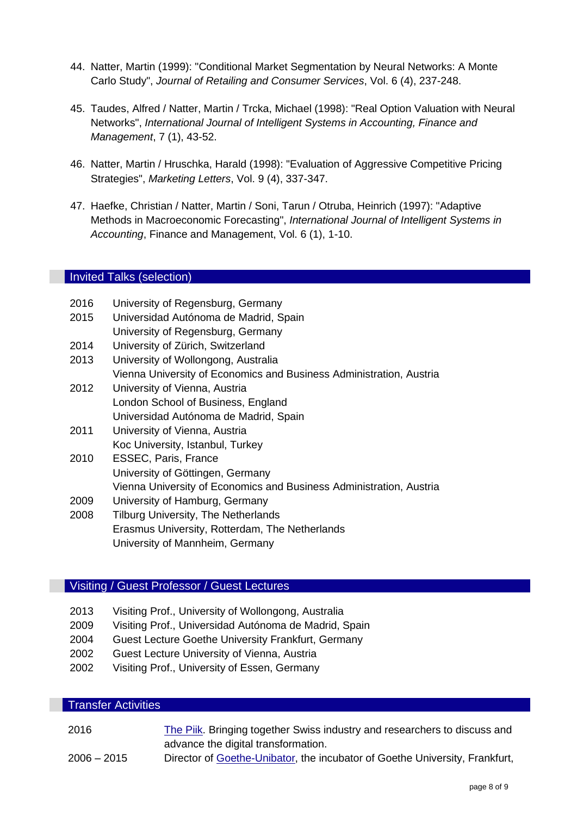- 44. Natter, Martin (1999): "Conditional Market Segmentation by Neural Networks: A Monte Carlo Study", *Journal of Retailing and Consumer Services*, Vol. 6 (4), 237-248.
- 45. Taudes, Alfred / Natter, Martin / Trcka, Michael (1998): "Real Option Valuation with Neural Networks", *International Journal of Intelligent Systems in Accounting, Finance and Management*, 7 (1), 43-52.
- 46. Natter, Martin / Hruschka, Harald (1998): "Evaluation of Aggressive Competitive Pricing Strategies", *Marketing Letters*, Vol. 9 (4), 337-347.
- 47. Haefke, Christian / Natter, Martin / Soni, Tarun / Otruba, Heinrich (1997): "Adaptive Methods in Macroeconomic Forecasting", *International Journal of Intelligent Systems in Accounting*, Finance and Management, Vol. 6 (1), 1-10.

# Invited Talks (selection)

- 2016 University of Regensburg, Germany
- 2015 Universidad Autónoma de Madrid, Spain University of Regensburg, Germany
- 2014 University of Zürich, Switzerland
- 2013 University of Wollongong, Australia Vienna University of Economics and Business Administration, Austria 2012 University of Vienna, Austria
	- London School of Business, England Universidad Autónoma de Madrid, Spain
- 2011 University of Vienna, Austria Koc University, Istanbul, Turkey
- 2010 ESSEC, Paris, France University of Göttingen, Germany Vienna University of Economics and Business Administration, Austria 2009 University of Hamburg, Germany
- 2008 Tilburg University, The Netherlands Erasmus University, Rotterdam, The Netherlands University of Mannheim, Germany

# Visiting / Guest Professor / Guest Lectures

- 2013 Visiting Prof., University of Wollongong, Australia
- 2009 Visiting Prof., Universidad Autónoma de Madrid, Spain
- 2004 Guest Lecture Goethe University Frankfurt, Germany
- 2002 Guest Lecture University of Vienna, Austria
- 2002 Visiting Prof., University of Essen, Germany

# Transfer Activities

- 2016 The Pilk. Bringing together Swiss industry and researchers to discuss and advance the digital transformation.
- 2006 2015 Director of [Goethe-Unibator,](http://goetheunibator.de/) the incubator of Goethe University, Frankfurt,